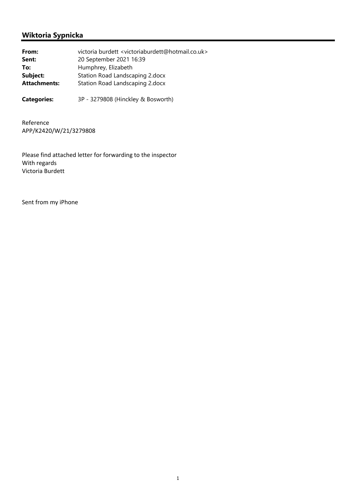## **Wiktoria Sypnicka**

| From:               | victoria burdett <victoriaburdett@hotmail.co.uk></victoriaburdett@hotmail.co.uk> |
|---------------------|----------------------------------------------------------------------------------|
| Sent:               | 20 September 2021 16:39                                                          |
| To:                 | Humphrey, Elizabeth                                                              |
| Subject:            | Station Road Landscaping 2.docx                                                  |
| <b>Attachments:</b> | Station Road Landscaping 2.docx                                                  |
|                     |                                                                                  |

**Categories:** 3P - 3279808 (Hinckley & Bosworth)

Reference APP/K2420/W/21/3279808

Please find attached letter for forwarding to the inspector With regards Victoria Burdett

Sent from my iPhone